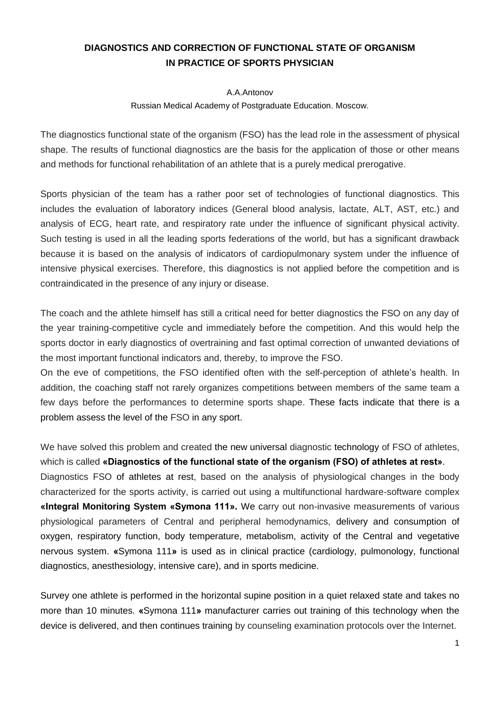## **DIAGNOSTICS AND CORRECTION OF FUNCTIONAL STATE OF ORGANISM IN PRACTICE OF SPORTS PHYSICIAN**

## A.A.Antonov

## Russian Medical Academy of Postgraduate Education. Moscow.

The diagnostics functional state of the organism (FSO) has the lead role in the assessment of physical shape. The results of functional diagnostics are the basis for the application of those or other means and methods for functional rehabilitation of an athlete that is a purely medical prerogative.

Sports physician of the team has a rather poor set of technologies of functional diagnostics. This includes the evaluation of laboratory indices (General blood analysis, lactate, ALT, AST, etc.) and analysis of ECG, heart rate, and respiratory rate under the influence of significant physical activity. Such testing is used in all the leading sports federations of the world, but has a significant drawback because it is based on the analysis of indicators of cardiopulmonary system under the influence of intensive physical exercises. Therefore, this diagnostics is not applied before the competition and is contraindicated in the presence of any injury or disease.

The coach and the athlete himself has still a critical need for better diagnostics the FSO on any day of the year training-competitive cycle and immediately before the competition. And this would help the sports doctor in early diagnostics of overtraining and fast optimal correction of unwanted deviations of the most important functional indicators and, thereby, to improve the FSO.

On the eve of competitions, the FSO identified often with the self-perception of athlete's health. In addition, the coaching staff not rarely organizes competitions between members of the same team a few days before the performances to determine sports shape. These facts indicate that there is a problem assess the level of the FSO in any sport.

We have solved this problem and created the new universal diagnostic technology of FSO of athletes, which is called **«Diagnostics of the functional state of the organism (FSO) of athletes at rest»**. Diagnostics FSO of athletes at rest, based on the analysis of physiological changes in the body characterized for the sports activity, is carried out using a multifunctional hardware-software complex **«Integral Monitoring System «Symona 111».** We carry out non-invasive measurements of various physiological parameters of Central and peripheral hemodynamics, delivery and consumption of oxygen, respiratory function, body temperature, metabolism, activity of the Central and vegetative nervous system. **«**Symona 111**»** is used as in clinical practice (cardiology, pulmonology, functional diagnostics, anesthesiology, intensive care), and in sports medicine.

Survey one athlete is performed in the horizontal supine position in a quiet relaxed state and takes no more than 10 minutes. **«**Symona 111**»** manufacturer carries out training of this technology when the device is delivered, and then continues training by counseling examination protocols over the Internet.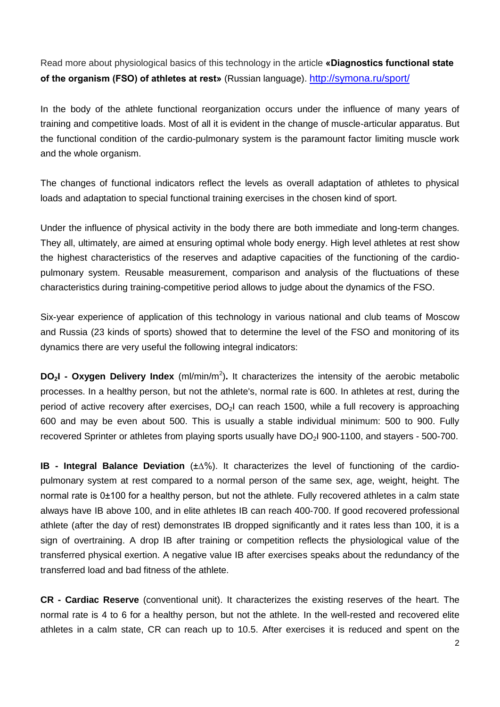Read more about physiological basics of this technology in the article **«Diagnostics functional state of the organism (FSO) of athletes at rest»** (Russian language). <http://symona.ru/sport/>

In the body of the athlete functional reorganization occurs under the influence of many years of training and competitive loads. Most of all it is evident in the change of muscle-articular apparatus. But the functional condition of the cardio-pulmonary system is the paramount factor limiting muscle work and the whole organism.

The changes of functional indicators reflect the levels as overall adaptation of athletes to physical loads and adaptation to special functional training exercises in the chosen kind of sport.

Under the influence of physical activity in the body there are both immediate and long-term changes. They all, ultimately, are aimed at ensuring optimal whole body energy. High level athletes at rest show the highest characteristics of the reserves and adaptive capacities of the functioning of the cardiopulmonary system. Reusable measurement, comparison and analysis of the fluctuations of these characteristics during training-competitive period allows to judge about the dynamics of the FSO.

Six-year experience of application of this technology in various national and club teams of Moscow and Russia (23 kinds of sports) showed that to determine the level of the FSO and monitoring of its dynamics there are very useful the following integral indicators:

**DO<sub>2</sub>I - Oxygen Delivery Index** (ml/min/m<sup>2</sup>). It characterizes the intensity of the aerobic metabolic processes. In a healthy person, but not the athlete's, normal rate is 600. In athletes at rest, during the period of active recovery after exercises,  $DO<sub>2</sub>l$  can reach 1500, while a full recovery is approaching 600 and may be even about 500. This is usually a stable individual minimum: 500 to 900. Fully recovered Sprinter or athletes from playing sports usually have DO<sub>2</sub>I 900-1100, and stayers - 500-700.

**IB - Integral Balance Deviation** (±∆%). It characterizes the level of functioning of the cardiopulmonary system at rest compared to a normal person of the same sex, age, weight, height. The normal rate is 0±100 for a healthy person, but not the athlete. Fully recovered athletes in a calm state always have IB above 100, and in elite athletes IB can reach 400-700. If good recovered professional athlete (after the day of rest) demonstrates IB dropped significantly and it rates less than 100, it is a sign of overtraining. A drop IB after training or competition reflects the physiological value of the transferred physical exertion. A negative value IB after exercises speaks about the redundancy of the transferred load and bad fitness of the athlete.

**CR - Cardiac Reserve** (conventional unit). It characterizes the existing reserves of the heart. The normal rate is 4 to 6 for a healthy person, but not the athlete. In the well-rested and recovered elite athletes in a calm state, CR can reach up to 10.5. After exercises it is reduced and spent on the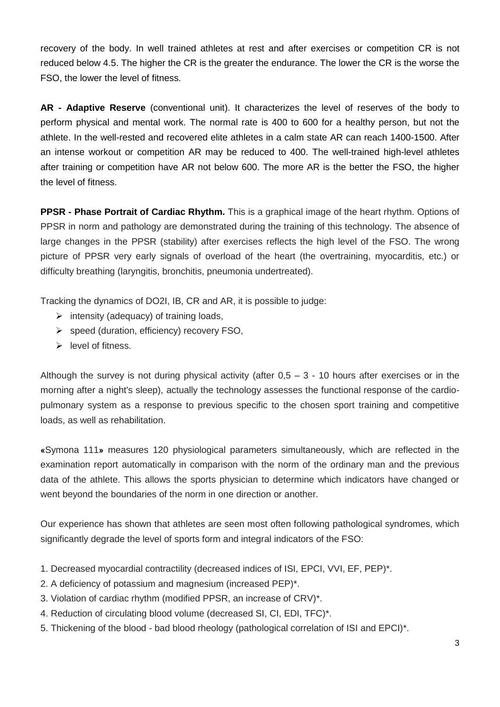recovery of the body. In well trained athletes at rest and after exercises or competition CR is not reduced below 4.5. The higher the CR is the greater the endurance. The lower the CR is the worse the FSO, the lower the level of fitness.

**AR - Adaptive Reserve** (conventional unit). It characterizes the level of reserves of the body to perform physical and mental work. The normal rate is 400 to 600 for a healthy person, but not the athlete. In the well-rested and recovered elite athletes in a calm state AR can reach 1400-1500. After an intense workout or competition AR may be reduced to 400. The well-trained high-level athletes after training or competition have AR not below 600. The more AR is the better the FSO, the higher the level of fitness.

**PPSR - Phase Portrait of Cardiac Rhythm.** This is a graphical image of the heart rhythm. Options of PPSR in norm and pathology are demonstrated during the training of this technology. The absence of large changes in the PPSR (stability) after exercises reflects the high level of the FSO. The wrong picture of PPSR very early signals of overload of the heart (the overtraining, myocarditis, etc.) or difficulty breathing (laryngitis, bronchitis, pneumonia undertreated).

Tracking the dynamics of DO2I, IB, CR and AR, it is possible to judge:

- $\triangleright$  intensity (adequacy) of training loads,
- $\triangleright$  speed (duration, efficiency) recovery FSO,
- $\triangleright$  level of fitness.

Although the survey is not during physical activity (after  $0.5 - 3 - 10$  hours after exercises or in the morning after a night's sleep), actually the technology assesses the functional response of the cardiopulmonary system as a response to previous specific to the chosen sport training and competitive loads, as well as rehabilitation.

**«**Symona 111**»** measures 120 physiological parameters simultaneously, which are reflected in the examination report automatically in comparison with the norm of the ordinary man and the previous data of the athlete. This allows the sports physician to determine which indicators have changed or went beyond the boundaries of the norm in one direction or another.

Our experience has shown that athletes are seen most often following pathological syndromes, which significantly degrade the level of sports form and integral indicators of the FSO:

- 1. Decreased myocardial contractility (decreased indices of ISI, EPCI, VVI, EF, PEP)\*.
- 2. A deficiency of potassium and magnesium (increased PEP)\*.
- 3. Violation of cardiac rhythm (modified PPSR, an increase of CRV)\*.
- 4. Reduction of circulating blood volume (decreased SI, CI, EDI, TFC)\*.
- 5. Thickening of the blood bad blood rheology (pathological correlation of ISI and EPCI)\*.